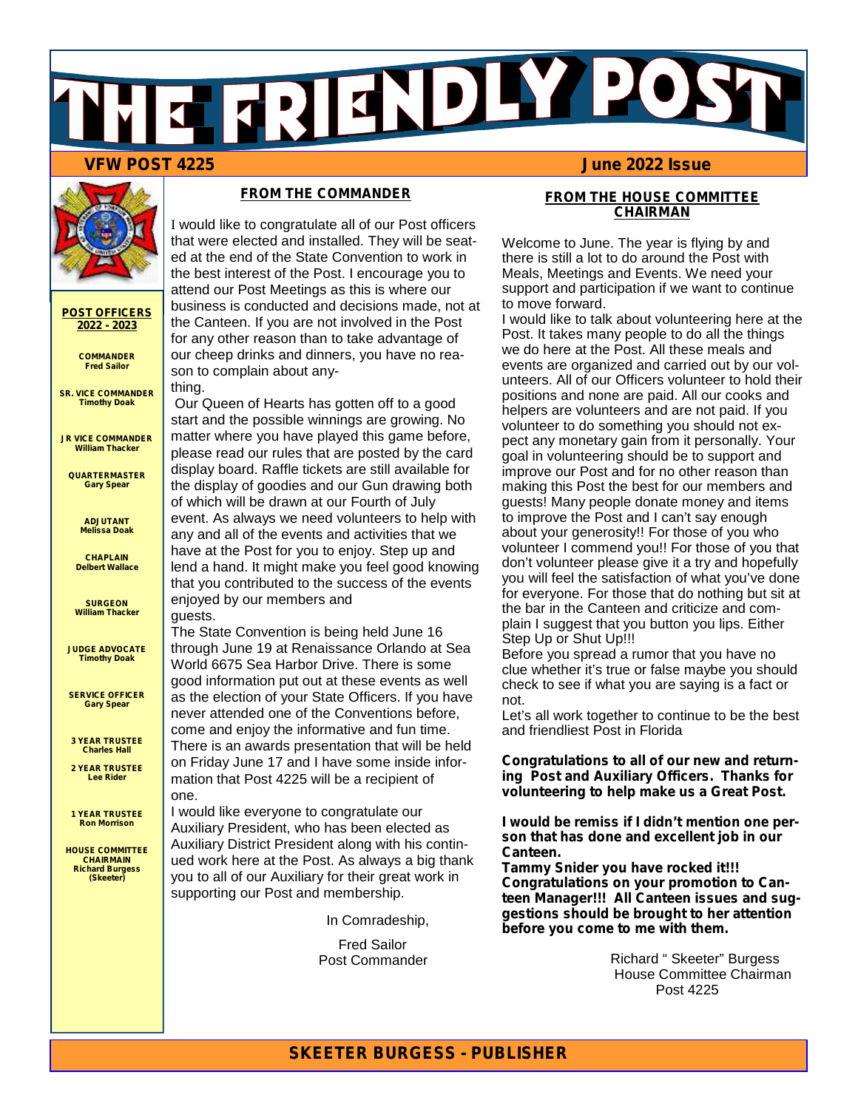## **VFW POST 4225**



#### **POST OFFICERS 2022 - 2023**

**COMMANDER Fred Sailor**

**SR. VICE COMMANDER Timothy Doak**

**JR VICE COMMANDER William Thacker**

**QUARTERMASTER Gary Spear**

> **ADJUTANT Melissa Doak**

**CHAPLAIN Delbert Wallace**

**SURGEON William Thacker**

**JUDGE ADVOCATE Timothy Doak**

**SERVICE OFFICER Gary Spear**

**3 YEAR TRUSTEE Charles Hall**

**2 YEAR TRUSTEE Lee Rider**

**1 YEAR TRUSTEE Ron Morrison**

**HOUSE COMMITTEE CHAIRMAIN Richard Burgess (Skeeter)**

#### **FROM THE COMMANDER**

I would like to congratulate all of our Post officers that were elected and installed. They will be seated at the end of the State Convention to work in the best interest of the Post. I encourage you to attend our Post Meetings as this is where our business is conducted and decisions made, not at the Canteen. If you are not involved in the Post for any other reason than to take advantage of our cheep drinks and dinners, you have no reason to complain about any-

thing. Our Queen of Hearts has gotten off to a good start and the possible winnings are growing. No matter where you have played this game before, please read our rules that are posted by the card display board. Raffle tickets are still available for the display of goodies and our Gun drawing both of which will be drawn at our Fourth of July event. As always we need volunteers to help with any and all of the events and activities that we have at the Post for you to enjoy. Step up and lend a hand. It might make you feel good knowing that you contributed to the success of the events enjoyed by our members and guests.

The State Convention is being held June 16 through June 19 at Renaissance Orlando at Sea World 6675 Sea Harbor Drive. There is some good information put out at these events as well as the election of your State Officers. If you have never attended one of the Conventions before, come and enjoy the informative and fun time. There is an awards presentation that will be held on Friday June 17 and I have some inside information that Post 4225 will be a recipient of one.

I would like everyone to congratulate our Auxiliary President, who has been elected as Auxiliary District President along with his continued work here at the Post. As always a big thank you to all of our Auxiliary for their great work in supporting our Post and membership.

In Comradeship,

Fred Sailor Post Commander

#### **FROM THE HOUSE COMMITTEE CHAIRMAN**

Welcome to June. The year is flying by and there is still a lot to do around the Post with Meals, Meetings and Events. We need your support and participation if we want to continue to move forward.

I would like to talk about volunteering here at the Post. It takes many people to do all the things we do here at the Post. All these meals and events are organized and carried out by our volunteers. All of our Officers volunteer to hold their positions and none are paid. All our cooks and helpers are volunteers and are not paid. If you volunteer to do something you should not expect any monetary gain from it personally. Your goal in volunteering should be to support and improve our Post and for no other reason than making this Post the best for our members and guests! Many people donate money and items to improve the Post and I can't say enough about your generosity!! For those of you who volunteer I commend you!! For those of you that don't volunteer please give it a try and hopefully you will feel the satisfaction of what you've done for everyone. For those that do nothing but sit at the bar in the Canteen and criticize and complain I suggest that you button you lips. Either Step Up or Shut Up!!!

Before you spread a rumor that you have no clue whether it's true or false maybe you should check to see if what you are saying is a fact or not.

Let's all work together to continue to be the best and friendliest Post in Florida

**Congratulations to all of our new and returning Post and Auxiliary Officers. Thanks for volunteering to help make us a Great Post.**

**I would be remiss if I didn't mention one person that has done and excellent job in our Canteen.**

**Tammy Snider you have rocked it!!! Congratulations on your promotion to Canteen Manager!!! All Canteen issues and suggestions should be brought to her attention before you come to me with them.**

> Richard " Skeeter" Burgess House Committee Chairman Post 4225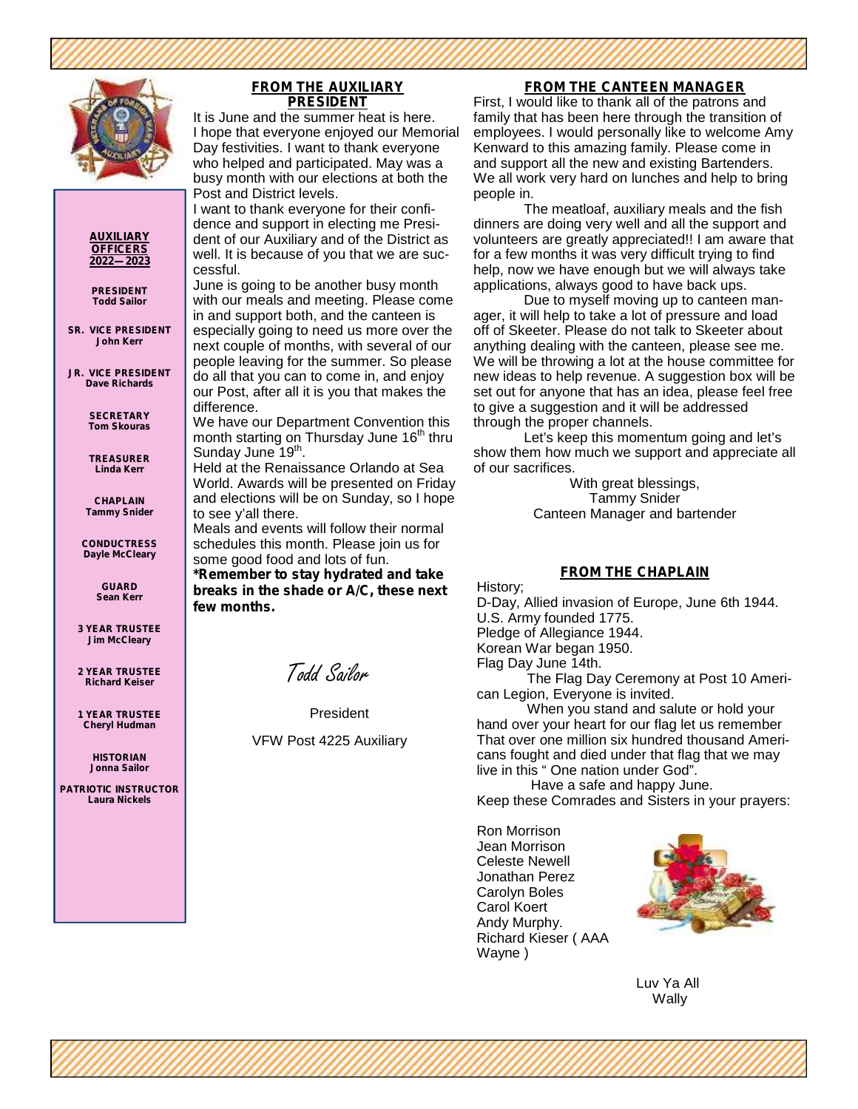

#### **AUXILIARY OFFICERS 2022—2023**

**PRESIDENT Todd Sailor**

**SR. VICE PRESIDENT John Kerr**

**JR. VICE PRESIDENT Dave Richards**

> **SECRETARY Tom Skouras**

**TREASURER Linda Kerr**

**CHAPLAIN Tammy Snider**

**CONDUCTRESS Dayle McCleary**

> **GUARD Sean Kerr**

**3 YEAR TRUSTEE Jim McCleary**

**2 YEAR TRUSTEE Richard Keiser**

**1 YEAR TRUSTEE Cheryl Hudman**

> **HISTORIAN Jonna Sailor**

**PATRIOTIC INSTRUCTOR Laura Nickels**

#### **FROM THE AUXILIARY PRESIDENT**

It is June and the summer heat is here. I hope that everyone enjoyed our Memorial Day festivities. I want to thank everyone who helped and participated. May was a busy month with our elections at both the Post and District levels.

I want to thank everyone for their confidence and support in electing me President of our Auxiliary and of the District as well. It is because of you that we are successful.

June is going to be another busy month with our meals and meeting. Please come in and support both, and the canteen is especially going to need us more over the next couple of months, with several of our people leaving for the summer. So please do all that you can to come in, and enjoy our Post, after all it is you that makes the difference.

We have our Department Convention this month starting on Thursday June 16<sup>th</sup> thru Sunday June 19<sup>th</sup>. .

Held at the Renaissance Orlando at Sea World. Awards will be presented on Friday and elections will be on Sunday, so I hope to see y'all there.

Meals and events will follow their normal schedules this month. Please join us for some good food and lots of fun.

**\*Remember to stay hydrated and take breaks in the shade or A/C, these next few months.**

Todd Sailor

President

VFW Post 4225 Auxiliary

#### **FROM THE CANTEEN MANAGER**

First, I would like to thank all of the patrons and family that has been here through the transition of employees. I would personally like to welcome Amy Kenward to this amazing family. Please come in and support all the new and existing Bartenders. We all work very hard on lunches and help to bring people in.

The meatloaf, auxiliary meals and the fish dinners are doing very well and all the support and volunteers are greatly appreciated!! I am aware that for a few months it was very difficult trying to find help, now we have enough but we will always take applications, always good to have back ups.

Due to myself moving up to canteen manager, it will help to take a lot of pressure and load off of Skeeter. Please do not talk to Skeeter about anything dealing with the canteen, please see me. We will be throwing a lot at the house committee for new ideas to help revenue. A suggestion box will be set out for anyone that has an idea, please feel free to give a suggestion and it will be addressed through the proper channels.

Let's keep this momentum going and let's show them how much we support and appreciate all of our sacrifices.

With great blessings, Tammy Snider Canteen Manager and bartender

#### **FROM THE CHAPLAIN**

History;

D-Day, Allied invasion of Europe, June 6th 1944. U.S. Army founded 1775. Pledge of Allegiance 1944. Korean War began 1950.

Flag Day June 14th.

The Flag Day Ceremony at Post 10 American Legion, Everyone is invited.

When you stand and salute or hold your hand over your heart for our flag let us remember That over one million six hundred thousand Americans fought and died under that flag that we may live in this " One nation under God".

Have a safe and happy June. Keep these Comrades and Sisters in your prayers:

Ron Morrison Jean Morrison Celeste Newell Jonathan Perez Carolyn Boles Carol Koert Andy Murphy. Richard Kieser ( AAA Wayne )



Luv Ya All Wally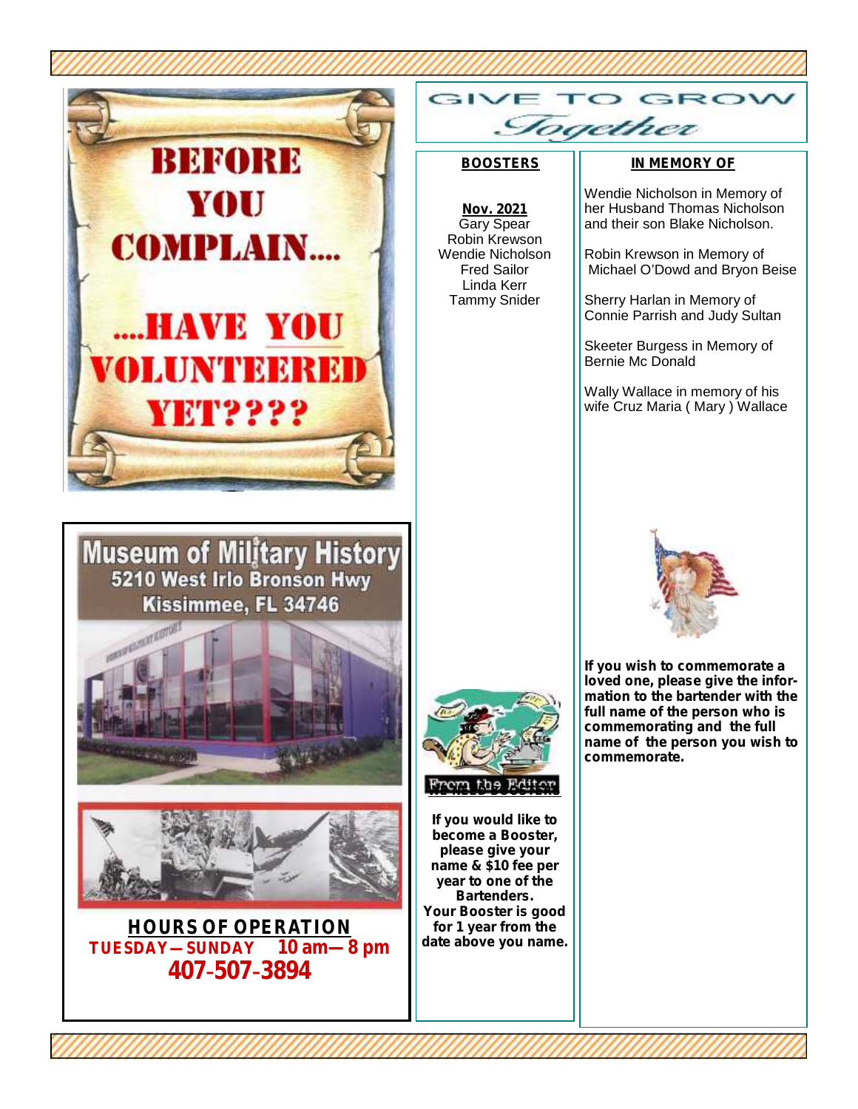



**HOURS OF OPERATION**<br>**SDAY—SUNDAY** 10 am—8 pm  $\tt TUESDAY—SUMDAY$ **407-507-3894**

GIN GROV Sogether

#### **BOOSTERS**

Linda Kerr Tammy Snider

#### **IN MEMORY OF**

**Nov. 2021** Gary Spear Robin Krewson Wendie Nicholson Fred Sailor Wendie Nicholson in Memory of her Husband Thomas Nicholson and their son Blake Nicholson. Robin Krewson in Memory of

Michael O'Dowd and Bryon Beise

Sherry Harlan in Memory of Connie Parrish and Judy Sultan

Skeeter Burgess in Memory of Bernie Mc Donald

Wally Wallace in memory of his wife Cruz Maria ( Mary ) Wallace



**If you wish to commemorate a loved one, please give the information to the bartender with the full name of the person who is commemorating and the full name of the person you wish to commemorate.**

**WE NEED BOOSTERS**

**If you would like to become a Booster, please give your name & \$10 fee per year to one of the Bartenders. Your Booster is good for 1 year from the date above you name.**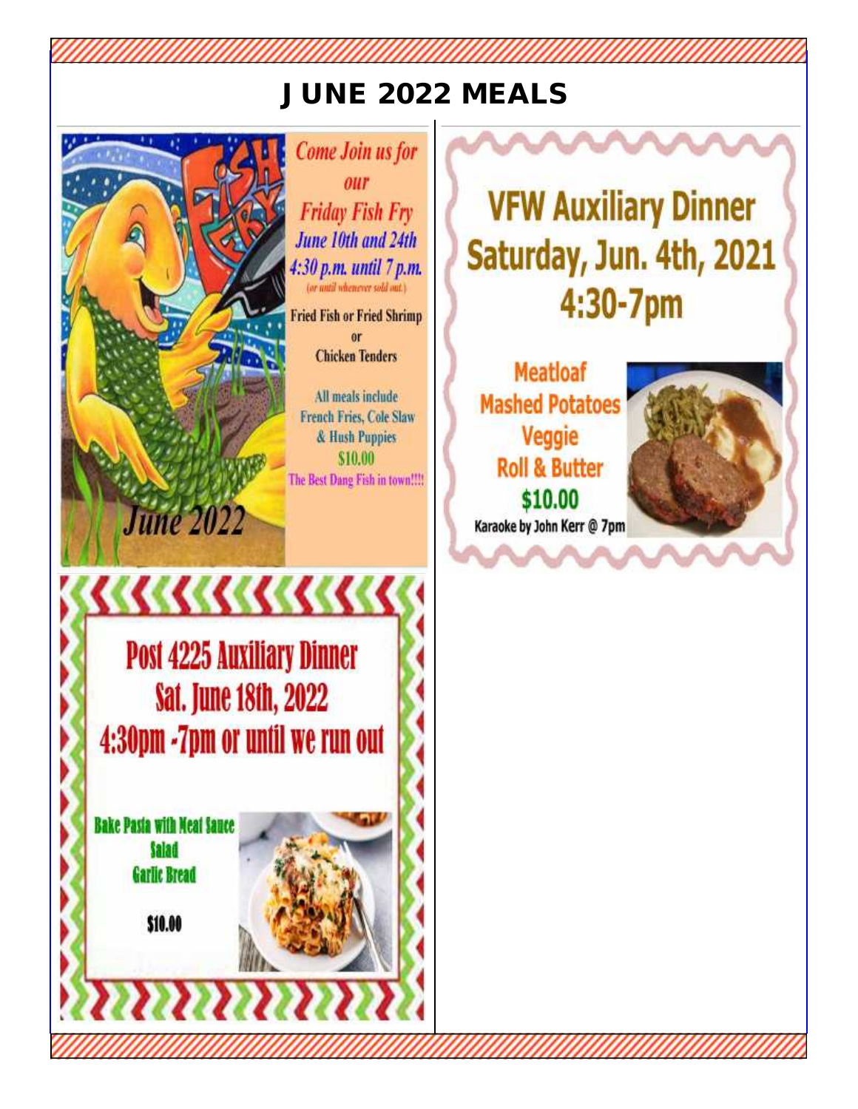#### JUNE 2022 MEALS



**Come Join us for** our **Friday Fish Fry** June 10th and 24th 4:30 p.m. until 7 p.m. (or mitil whenever sold out.)

**Fried Fish or Fried Shrimp** or **Chicken Tenders** 

All meals include **French Fries, Cole Slaw** & Hush Puppies \$10.00 The Best Dang Fish in town!!!!

**VFW Auxiliary Dinner** Saturday, Jun. 4th, 2021 4:30-7pm

**Meatloaf Mashed Potatoes** Veggie **Roll & Butter** \$10.00 Karaoke by John Kerr @ 7pm



**Post 4225 Auxiliary Dinner Sat. June 18th, 2022** 4:30pm -7pm or until we run out

<u>KKKKKKKKKKK</u>

**Bake Pasia with Neat Sance Salad Garlic Bread** 

\$10.00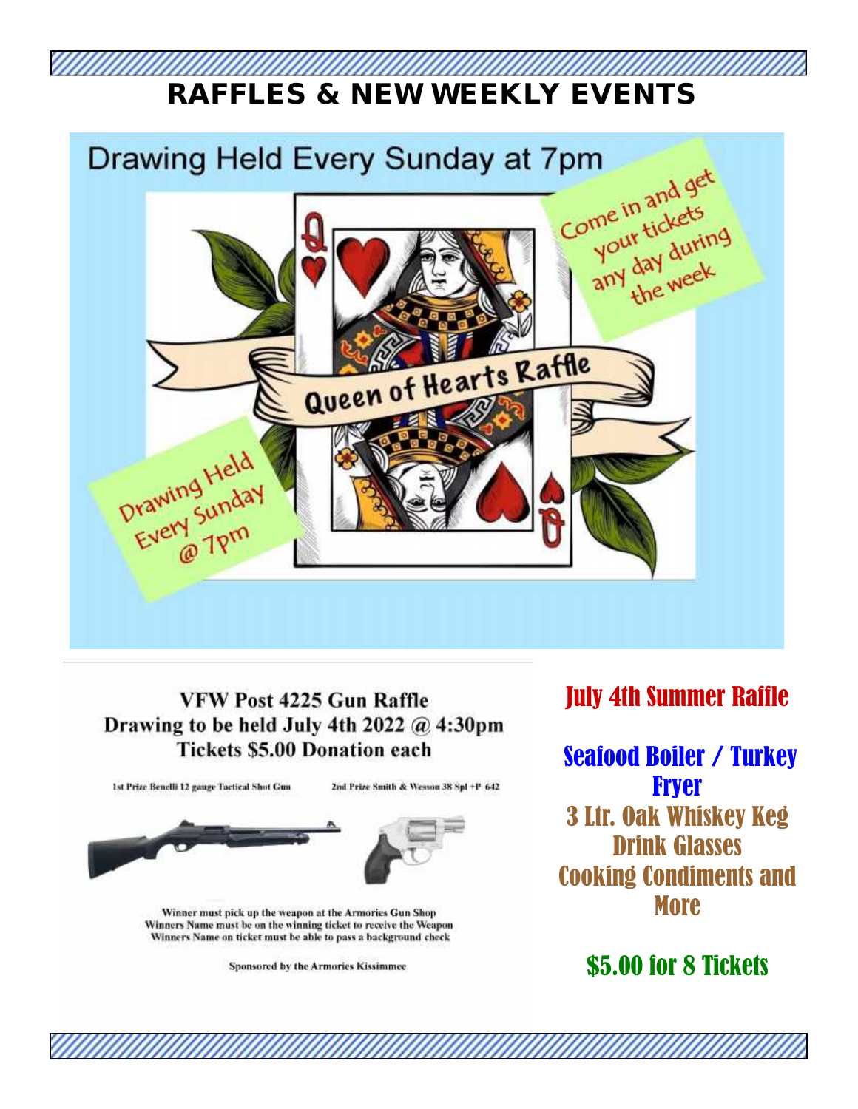### **RAFFLES & NEW WEEKLY EVENTS**



#### VFW Post 4225 Gun Raffle Drawing to be held July 4th 2022  $@$  4:30pm **Tickets \$5.00 Donation each**

1st Prize Benelli 12 gauge Tactical Shot Gun

2nd Prize Smith & Wesson 38 Spl +P 642



Winner must pick up the weapon at the Armories Gun Shop Winners Name must be on the winning ticket to receive the Weapon Winners Name on ticket must be able to pass a background check

Sponsored by the Armories Kissimmee

#### July 4th Summer Raffle

Seafood Boiler / Turkey **Fryer** 3 Ltr. Oak Whiskey Keg Drink Glasses Cooking Condiments and **More** 

#### \$5.00 for 8 Tickets

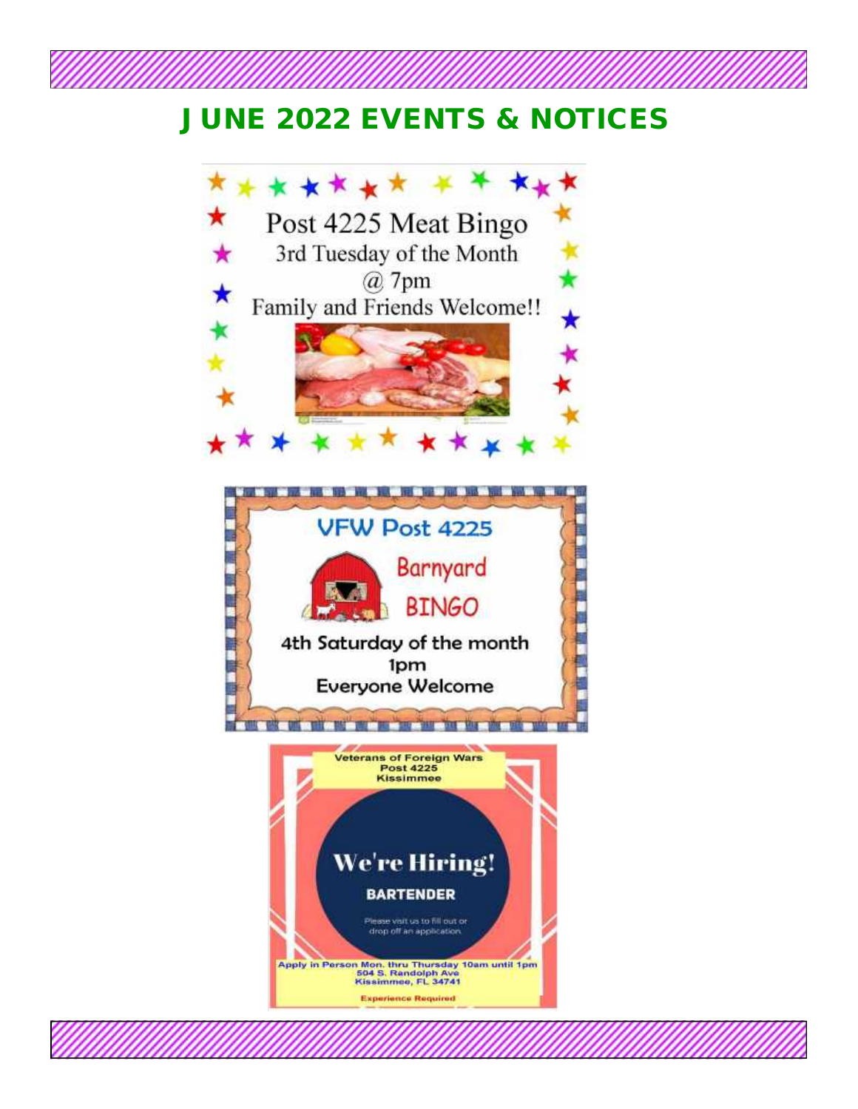#### **JUNE 2022 EVENTS & NOTICES**

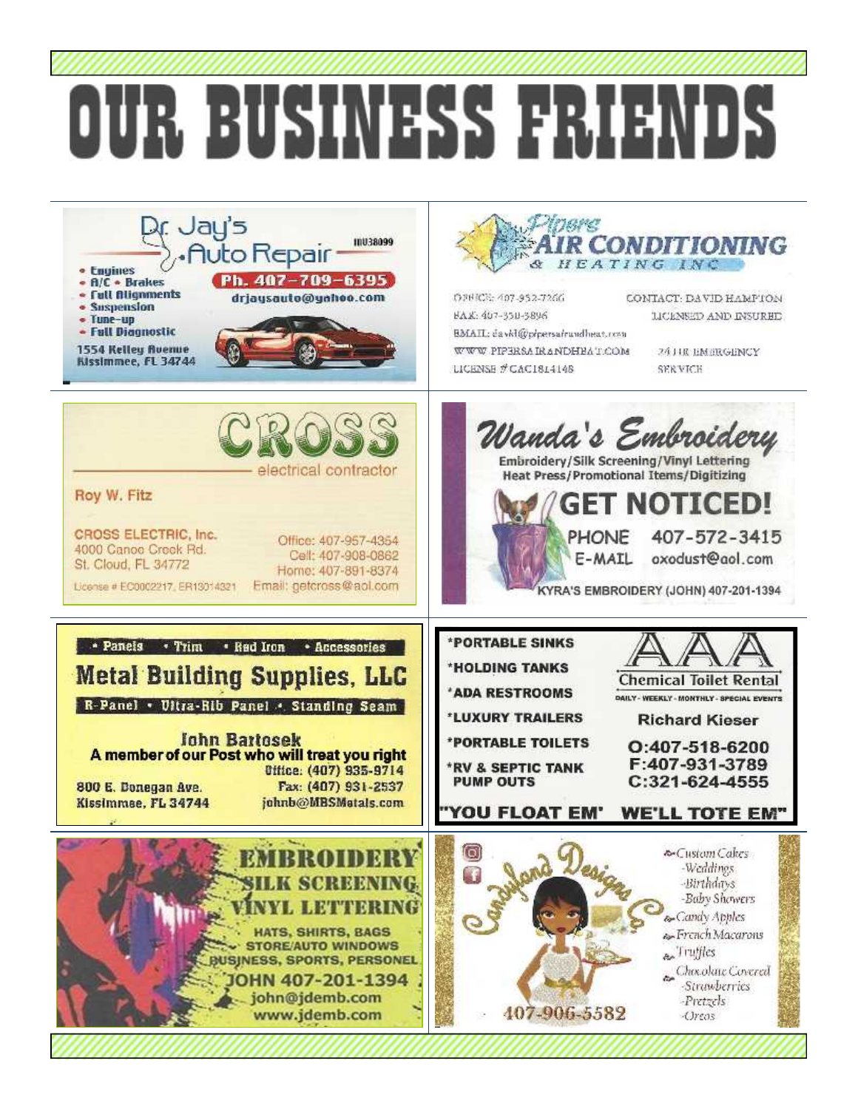## DUR BUSINESS FRIEN

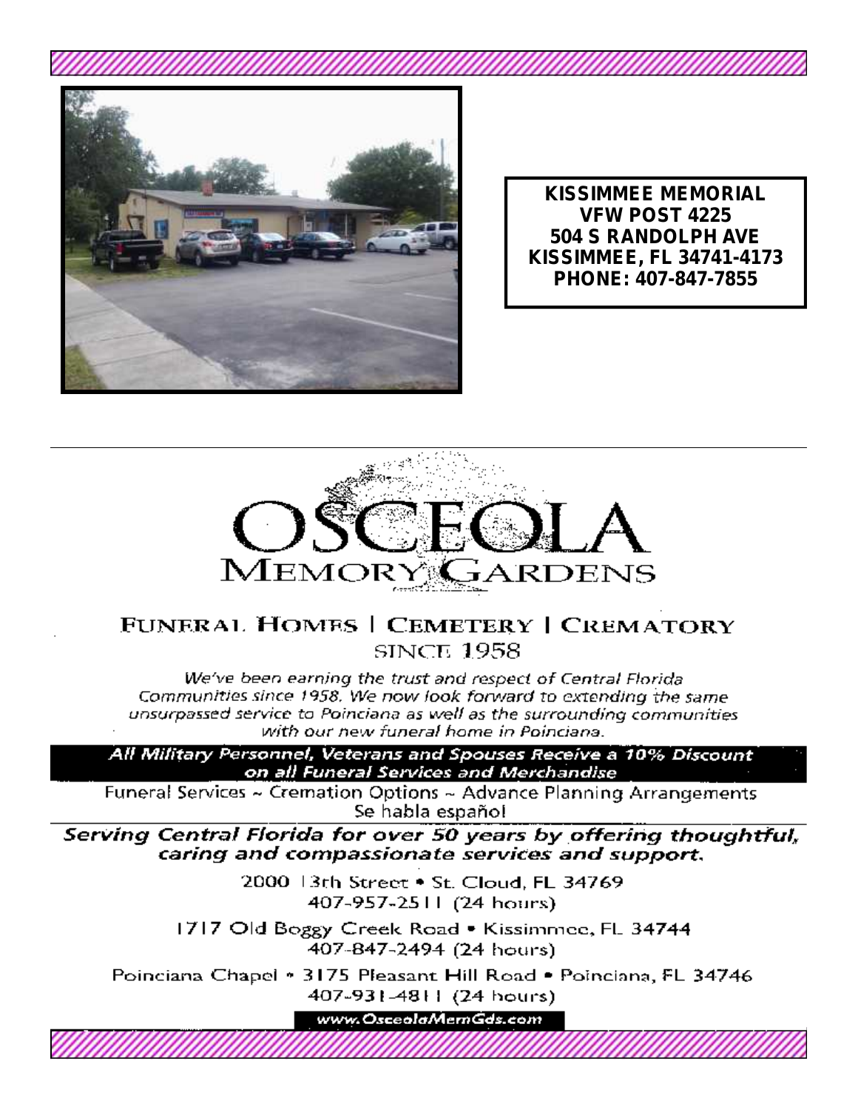

**KISSIMMEE MEMORIAL VFW POST 4225 504 S RANDOLPH AVE KISSIMMEE, FL 34741-4173** PHONE: 407-847-7855



#### FUNERAL HOMES | CEMETERY | CREMATORY **SINCE 1958**

We've been earning the trust and respect of Central Florida Communities since 1958. We now look forward to extending the same unsurpassed service to Poinciana as well as the surrounding communities with our new funeral home in Poinciana.

All Military Personnel, Veterans and Spouses Receive a 10% Discount on all Funeral Services and Merchandise

Funeral Services ~ Cremation Options ~ Advance Planning Arrangements Se habla español

Serving Central Florida for over 50 years by offering thoughtful, caring and compassionate services and support.

> 2000 3th Street • St. Cloud, FL 34769 407-957-2511 (24 hours)

1717 Old Boggy Creek Road • Kissimmee, FL 34744 407-847-2494 (24 hours)

Poinciana Chapel • 3175 Pleasant Hill Road • Poinciana, FL 34746 407-931-4811 (24 hours)

www.OsceolaMemGds.com